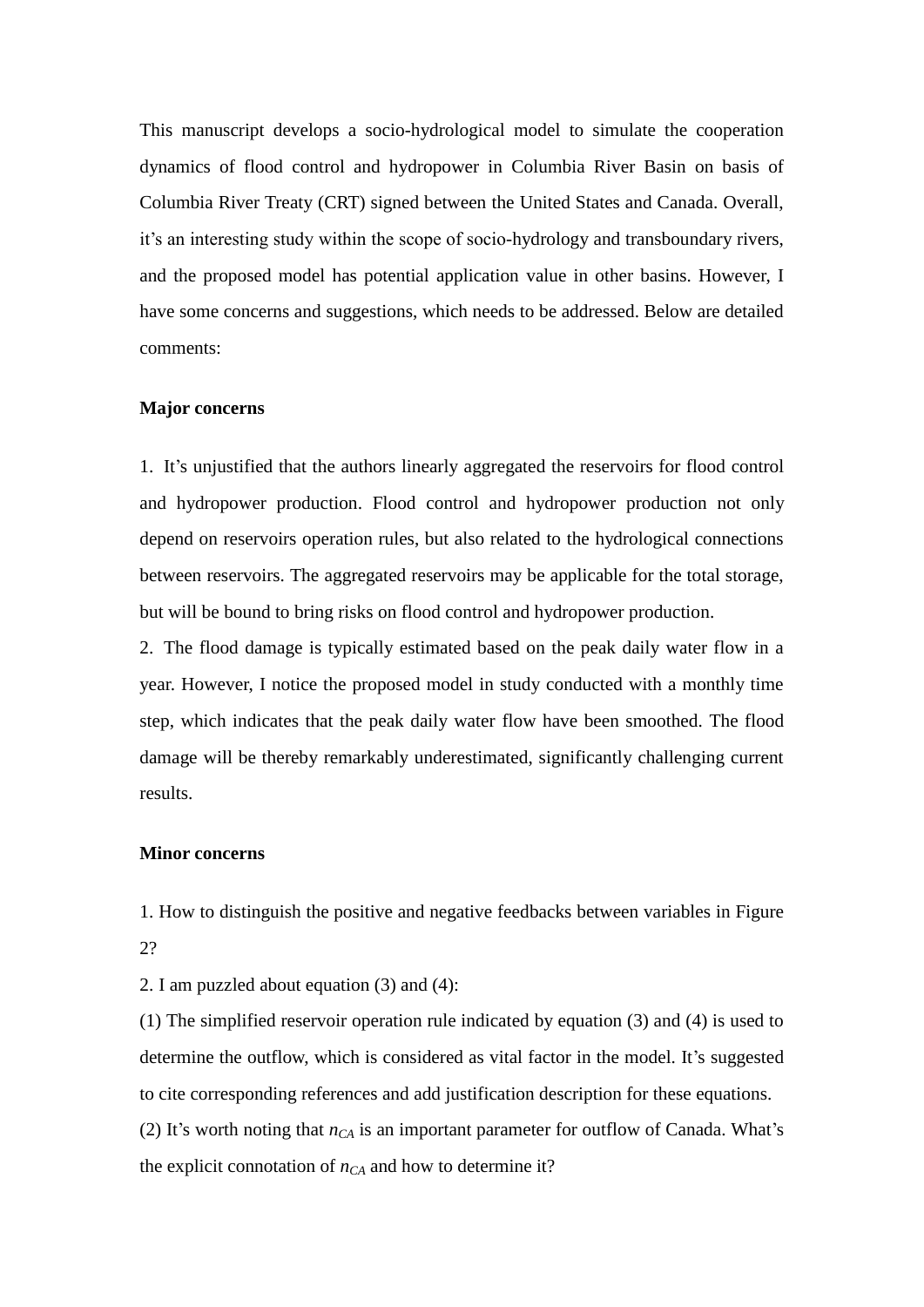This manuscript develops a socio-hydrological model to simulate the cooperation dynamics of flood control and hydropower in Columbia River Basin on basis of Columbia River Treaty (CRT) signed between the United States and Canada. Overall, it's an interesting study within the scope of socio-hydrology and transboundary rivers, and the proposed model has potential application value in other basins. However, I have some concerns and suggestions, which needs to be addressed. Below are detailed comments:

## **Major concerns**

1. It's unjustified that the authors linearly aggregated the reservoirs for flood control and hydropower production. Flood control and hydropower production not only depend on reservoirs operation rules, but also related to the hydrological connections between reservoirs. The aggregated reservoirs may be applicable for the total storage, but will be bound to bring risks on flood control and hydropower production.

2. The flood damage is typically estimated based on the peak daily water flow in a year. However, I notice the proposed model in study conducted with a monthly time step, which indicates that the peak daily water flow have been smoothed. The flood damage will be thereby remarkably underestimated, significantly challenging current results.

## **Minor concerns**

1. How to distinguish the positive and negative feedbacks between variables in Figure 2?

2. I am puzzled about equation (3) and (4):

(1) The simplified reservoir operation rule indicated by equation (3) and (4) is used to determine the outflow, which is considered as vital factor in the model. It's suggested to cite corresponding references and add justification description for these equations. (2) It's worth noting that  $n_{CA}$  is an important parameter for outflow of Canada. What's the explicit connotation of  $n_{CA}$  and how to determine it?